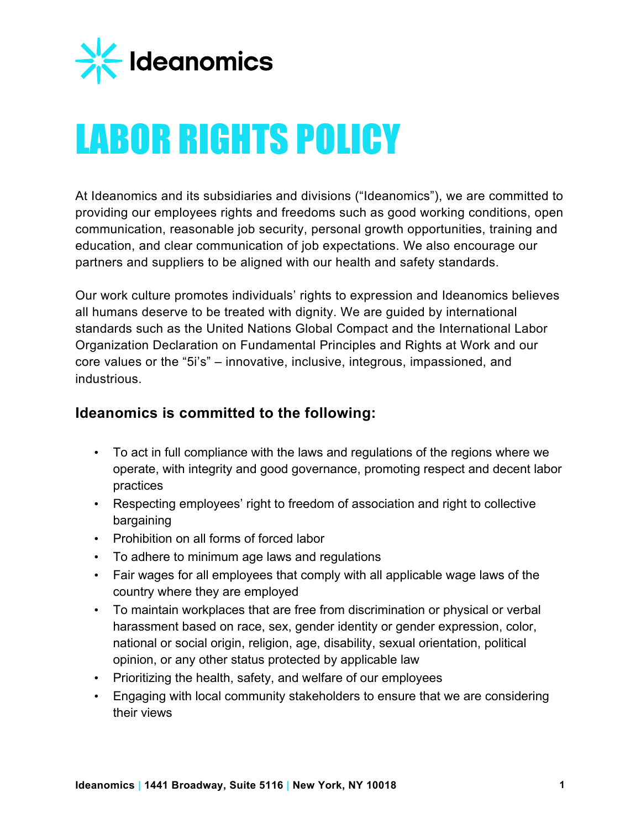

## LABOR RIGHTS POLICY

At Ideanomics and its subsidiaries and divisions ("Ideanomics"), we are committed to providing our employees rights and freedoms such as good working conditions, open communication, reasonable job security, personal growth opportunities, training and education, and clear communication of job expectations. We also encourage our partners and suppliers to be aligned with our health and safety standards.

Our work culture promotes individuals' rights to expression and Ideanomics believes all humans deserve to be treated with dignity. We are guided by international standards such as the United Nations Global Compact and the International Labor Organization Declaration on Fundamental Principles and Rights at Work and our core values or the "5i's" – innovative, inclusive, integrous, impassioned, and industrious.

## **Ideanomics is committed to the following:**

- To act in full compliance with the laws and regulations of the regions where we operate, with integrity and good governance, promoting respect and decent labor practices
- Respecting employees' right to freedom of association and right to collective bargaining
- Prohibition on all forms of forced labor
- To adhere to minimum age laws and regulations
- Fair wages for all employees that comply with all applicable wage laws of the country where they are employed
- To maintain workplaces that are free from discrimination or physical or verbal harassment based on race, sex, gender identity or gender expression, color, national or social origin, religion, age, disability, sexual orientation, political opinion, or any other status protected by applicable law
- Prioritizing the health, safety, and welfare of our employees
- Engaging with local community stakeholders to ensure that we are considering their views